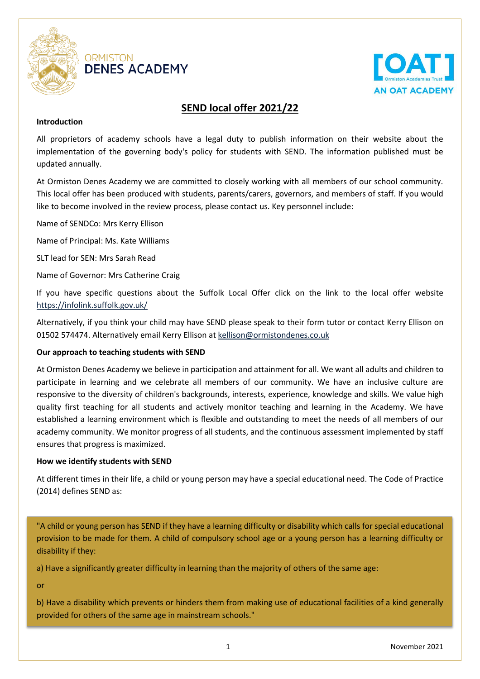

# **ORMISTON DENES ACADEMY**



# **SEND local offer 2021/22**

# **Introduction**

All proprietors of academy schools have a legal duty to publish information on their website about the implementation of the governing body's policy for students with SEND. The information published must be updated annually.

At Ormiston Denes Academy we are committed to closely working with all members of our school community. This local offer has been produced with students, parents/carers, governors, and members of staff. If you would like to become involved in the review process, please contact us. Key personnel include:

Name of SENDCo: Mrs Kerry Ellison

Name of Principal: Ms. Kate Williams

SLT lead for SEN: Mrs Sarah Read

Name of Governor: Mrs Catherine Craig

If you have specific questions about the Suffolk Local Offer click on the link to the local offer website <https://infolink.suffolk.gov.uk/>

Alternatively, if you think your child may have SEND please speak to their form tutor or contact Kerry Ellison on 01502 574474. Alternatively email Kerry Ellison at [kellison@ormistondenes.co.uk](mailto:kellison@ormistondenes.co.uk)

# **Our approach to teaching students with SEND**

At Ormiston Denes Academy we believe in participation and attainment for all. We want all adults and children to participate in learning and we celebrate all members of our community. We have an inclusive culture are responsive to the diversity of children's backgrounds, interests, experience, knowledge and skills. We value high quality first teaching for all students and actively monitor teaching and learning in the Academy. We have established a learning environment which is flexible and outstanding to meet the needs of all members of our academy community. We monitor progress of all students, and the continuous assessment implemented by staff ensures that progress is maximized.

## **How we identify students with SEND**

At different times in their life, a child or young person may have a special educational need. The Code of Practice (2014) defines SEND as:

"A child or young person has SEND if they have a learning difficulty or disability which calls for special educational provision to be made for them. A child of compulsory school age or a young person has a learning difficulty or disability if they:

a) Have a significantly greater difficulty in learning than the majority of others of the same age:

or

b) Have a disability which prevents or hinders them from making use of educational facilities of a kind generally provided for others of the same age in mainstream schools."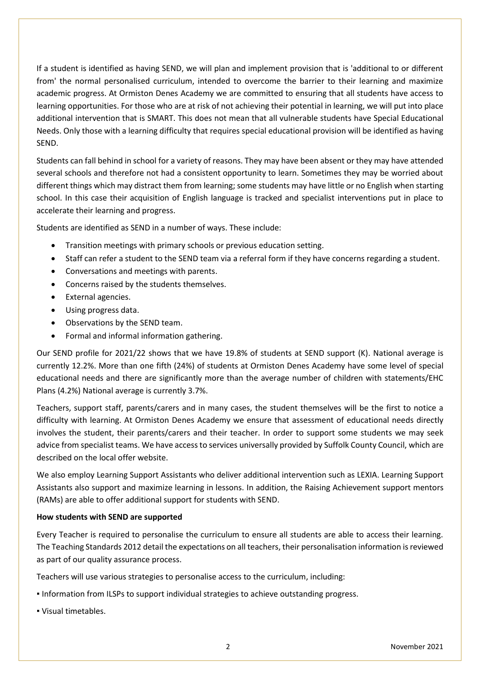If a student is identified as having SEND, we will plan and implement provision that is 'additional to or different from' the normal personalised curriculum, intended to overcome the barrier to their learning and maximize academic progress. At Ormiston Denes Academy we are committed to ensuring that all students have access to learning opportunities. For those who are at risk of not achieving their potential in learning, we will put into place additional intervention that is SMART. This does not mean that all vulnerable students have Special Educational Needs. Only those with a learning difficulty that requires special educational provision will be identified as having SEND.

Students can fall behind in school for a variety of reasons. They may have been absent or they may have attended several schools and therefore not had a consistent opportunity to learn. Sometimes they may be worried about different things which may distract them from learning; some students may have little or no English when starting school. In this case their acquisition of English language is tracked and specialist interventions put in place to accelerate their learning and progress.

Students are identified as SEND in a number of ways. These include:

- Transition meetings with primary schools or previous education setting.
- Staff can refer a student to the SEND team via a referral form if they have concerns regarding a student.
- Conversations and meetings with parents.
- Concerns raised by the students themselves.
- **•** External agencies.
- Using progress data.
- Observations by the SEND team.
- Formal and informal information gathering.

Our SEND profile for 2021/22 shows that we have 19.8% of students at SEND support (K). National average is currently 12.2%. More than one fifth (24%) of students at Ormiston Denes Academy have some level of special educational needs and there are significantly more than the average number of children with statements/EHC Plans (4.2%) National average is currently 3.7%.

Teachers, support staff, parents/carers and in many cases, the student themselves will be the first to notice a difficulty with learning. At Ormiston Denes Academy we ensure that assessment of educational needs directly involves the student, their parents/carers and their teacher. In order to support some students we may seek advice from specialist teams. We have access to services universally provided by Suffolk County Council, which are described on the local offer website.

We also employ Learning Support Assistants who deliver additional intervention such as LEXIA. Learning Support Assistants also support and maximize learning in lessons. In addition, the Raising Achievement support mentors (RAMs) are able to offer additional support for students with SEND.

#### **How students with SEND are supported**

Every Teacher is required to personalise the curriculum to ensure all students are able to access their learning. The Teaching Standards 2012 detail the expectations on all teachers, their personalisation information is reviewed as part of our quality assurance process.

Teachers will use various strategies to personalise access to the curriculum, including:

- Information from ILSPs to support individual strategies to achieve outstanding progress.
- Visual timetables.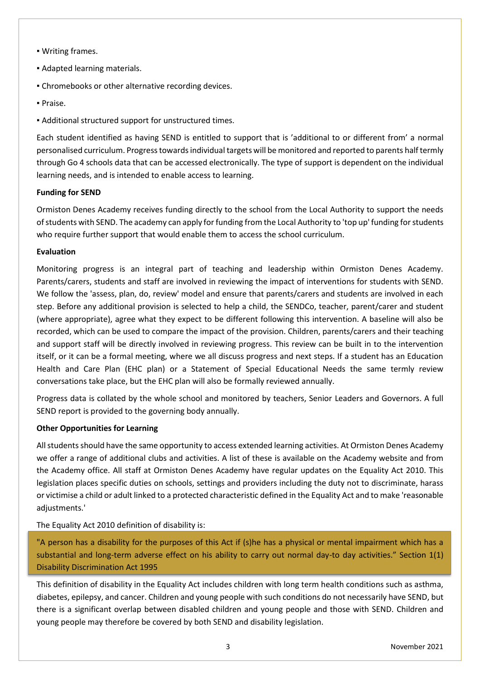- Writing frames.
- Adapted learning materials.
- Chromebooks or other alternative recording devices.
- Praise.
- Additional structured support for unstructured times.

Each student identified as having SEND is entitled to support that is 'additional to or different from' a normal personalised curriculum. Progress towards individual targets will be monitored and reported to parents half termly through Go 4 schools data that can be accessed electronically. The type of support is dependent on the individual learning needs, and is intended to enable access to learning.

# **Funding for SEND**

Ormiston Denes Academy receives funding directly to the school from the Local Authority to support the needs of students with SEND. The academy can apply for funding from the Local Authority to 'top up' funding for students who require further support that would enable them to access the school curriculum.

## **Evaluation**

Monitoring progress is an integral part of teaching and leadership within Ormiston Denes Academy. Parents/carers, students and staff are involved in reviewing the impact of interventions for students with SEND. We follow the 'assess, plan, do, review' model and ensure that parents/carers and students are involved in each step. Before any additional provision is selected to help a child, the SENDCo, teacher, parent/carer and student (where appropriate), agree what they expect to be different following this intervention. A baseline will also be recorded, which can be used to compare the impact of the provision. Children, parents/carers and their teaching and support staff will be directly involved in reviewing progress. This review can be built in to the intervention itself, or it can be a formal meeting, where we all discuss progress and next steps. If a student has an Education Health and Care Plan (EHC plan) or a Statement of Special Educational Needs the same termly review conversations take place, but the EHC plan will also be formally reviewed annually.

Progress data is collated by the whole school and monitored by teachers, Senior Leaders and Governors. A full SEND report is provided to the governing body annually.

## **Other Opportunities for Learning**

All students should have the same opportunity to access extended learning activities. At Ormiston Denes Academy we offer a range of additional clubs and activities. A list of these is available on the Academy website and from the Academy office. All staff at Ormiston Denes Academy have regular updates on the Equality Act 2010. This legislation places specific duties on schools, settings and providers including the duty not to discriminate, harass or victimise a child or adult linked to a protected characteristic defined in the Equality Act and to make 'reasonable adjustments.'

The Equality Act 2010 definition of disability is:

"A person has a disability for the purposes of this Act if (s)he has a physical or mental impairment which has a substantial and long-term adverse effect on his ability to carry out normal day-to day activities." Section 1(1) Disability Discrimination Act 1995

This definition of disability in the Equality Act includes children with long term health conditions such as asthma, diabetes, epilepsy, and cancer. Children and young people with such conditions do not necessarily have SEND, but there is a significant overlap between disabled children and young people and those with SEND. Children and young people may therefore be covered by both SEND and disability legislation.